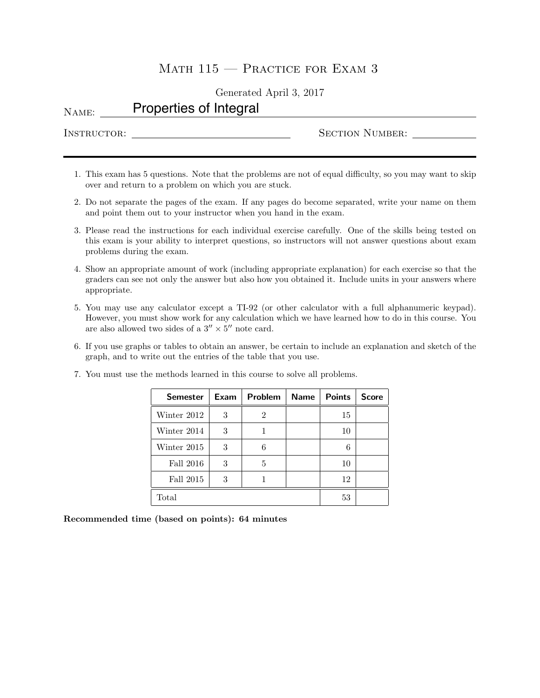## MATH  $115$  – Practice for Exam 3

## Generated April 3, 2017

| NAME: | Properties of Integral |
|-------|------------------------|
|       |                        |

INSTRUCTOR: SECTION NUMBER:

- 1. This exam has 5 questions. Note that the problems are not of equal difficulty, so you may want to skip over and return to a problem on which you are stuck.
- 2. Do not separate the pages of the exam. If any pages do become separated, write your name on them and point them out to your instructor when you hand in the exam.
- 3. Please read the instructions for each individual exercise carefully. One of the skills being tested on this exam is your ability to interpret questions, so instructors will not answer questions about exam problems during the exam.
- 4. Show an appropriate amount of work (including appropriate explanation) for each exercise so that the graders can see not only the answer but also how you obtained it. Include units in your answers where appropriate.
- 5. You may use any calculator except a TI-92 (or other calculator with a full alphanumeric keypad). However, you must show work for any calculation which we have learned how to do in this course. You are also allowed two sides of a  $3'' \times 5''$  note card.
- 6. If you use graphs or tables to obtain an answer, be certain to include an explanation and sketch of the graph, and to write out the entries of the table that you use.

| <b>Semester</b> | Exam | <b>Problem</b> | <b>Name</b> | <b>Points</b> | <b>Score</b> |
|-----------------|------|----------------|-------------|---------------|--------------|
| Winter 2012     | 3    | 2              |             | 15            |              |
| Winter 2014     | 3    |                |             | 10            |              |
| Winter 2015     | 3    | 6              |             | 6             |              |
| Fall 2016       | 3    | 5              |             | 10            |              |
| Fall 2015       | 3    |                |             | 12            |              |
| Total           |      |                |             | 53            |              |

7. You must use the methods learned in this course to solve all problems.

Recommended time (based on points): 64 minutes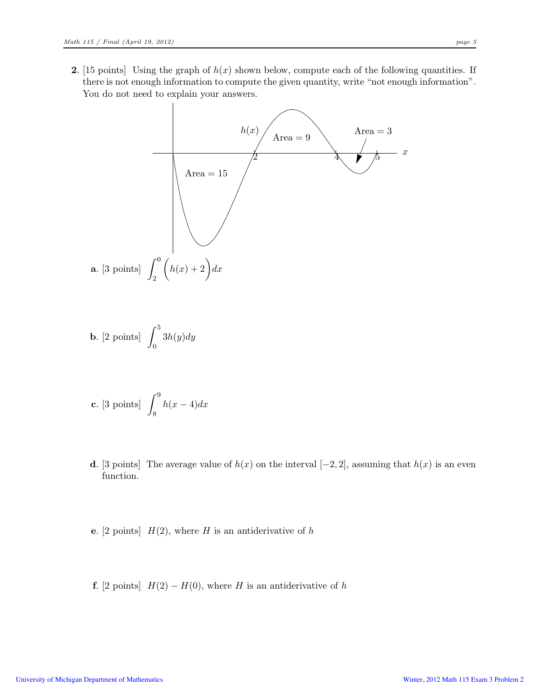2. [15 points] Using the graph of  $h(x)$  shown below, compute each of the following quantities. If there is not enough information to compute the given quantity, write "not enough information". You do not need to explain your answers.

h(x) Area = 9 Area = 3 2 45 <sup>x</sup> Area = 15 <sup>a</sup>. [3 points] ! <sup>0</sup> " h(x)+2# dx 2

**b.** [2 points] 
$$
\int_0^5 3h(y)dy
$$

**c.** [3 points] 
$$
\int_{8}^{9} h(x-4) dx
$$

- d. [3 points] The average value of  $h(x)$  on the interval  $[-2, 2]$ , assuming that  $h(x)$  is an even function.
- e. [2 points]  $H(2)$ , where H is an antiderivative of h
- f. [2 points]  $H(2) H(0)$ , where H is an antiderivative of h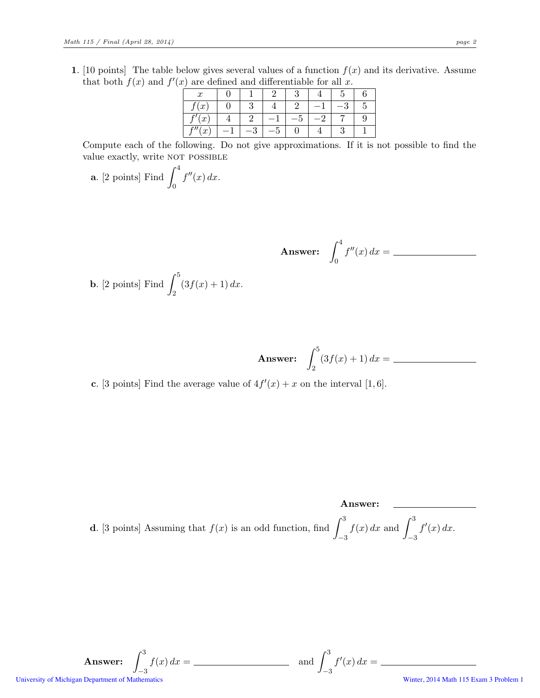1. [10 points] The table below gives several values of a function  $f(x)$  and its derivative. Assume that both  $f(x)$  and  $f'(x)$  are defined and differentiable for all x.

| $\boldsymbol{x}$                |  |  |  |  |
|---------------------------------|--|--|--|--|
| n<br>(x <sup>2</sup> )          |  |  |  |  |
| $\epsilon$<br>(x <sup>2</sup> ) |  |  |  |  |
| £11<br>$\cdot x$                |  |  |  |  |

Compute each of the following. Do not give approximations. If it is not possible to find the value exactly, write NOT POSSIBLE

**a**. [2 points] Find  $\int_0^4 f''(x) dx$ .

**b.** [2 points] Find 
$$
\int_{2}^{5} (3f(x) + 1) dx
$$
.

**Answer:** 
$$
\int_{2}^{5} (3f(x) + 1) dx =
$$

Answer:

c. [3 points] Find the average value of  $4f'(x) + x$  on the interval [1, 6].

**d**. [3 points] Assuming that  $f(x)$  is an odd function, find  $\int_{-3}^{3} f(x) dx$  and  $\int_{-3}^{3} f'(x) dx$ .

Answer: 
$$
\int_{-3}^{3} f(x) dx =
$$
 and  $\int_{-3}^{3} f'(x) dx =$  \_\_\_\_\_\_\_  
University of Michigan Department of Mathematics  
115 Exam 3 Problem 1

Answer:  $\int_0^4$  $\int_{0}^{1} f''(x) dx =$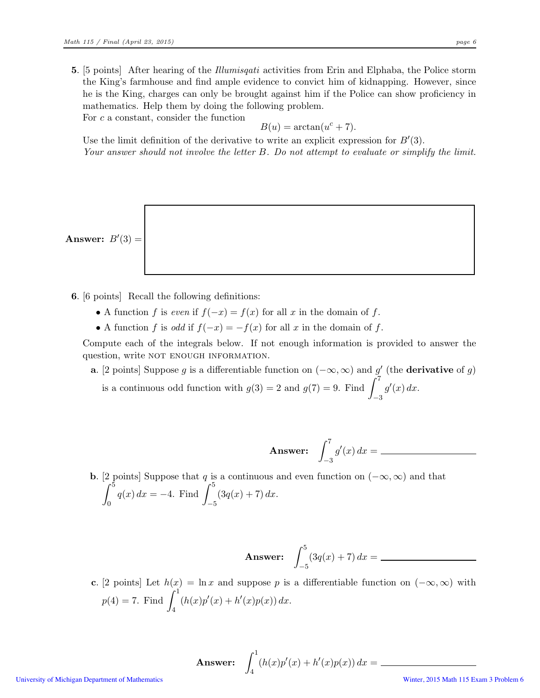5. [5 points] After hearing of the Illumisqati activities from Erin and Elphaba, the Police storm the King's farmhouse and find ample evidence to convict him of kidnapping. However, since he is the King, charges can only be brought against him if the Police can show proficiency in mathematics. Help them by doing the following problem. For c a constant, consider the function

 $B(u) = \arctan(u^c + 7).$ 

Use the limit definition of the derivative to write an explicit expression for  $B'(3)$ . Your answer should not involve the letter B. Do not attempt to evaluate or simplify the limit.



6. [6 points] Recall the following definitions:

- A function f is even if  $f(-x) = f(x)$  for all x in the domain of f.
- A function f is *odd* if  $f(-x) = -f(x)$  for all x in the domain of f.

Compute each of the integrals below. If not enough information is provided to answer the question, write NOT ENOUGH INFORMATION.

**a.** [2 points] Suppose g is a differentiable function on  $(-\infty, \infty)$  and g' (the **derivative** of g) is a continuous odd function with  $g(3) = 2$  and  $g(7) = 9$ . Find  $\int_{-3}^{7} g'(x) dx$ .

**Answer:** 
$$
\int_{-3}^{7} g'(x) dx =
$$

**b.** [2 points] Suppose that q is a continuous and even function on  $(-\infty, \infty)$  and that  $\int_0^5$  $\int_0^5 q(x) dx = -4.$  Find  $\int_{-5}^5 (3q(x) + 7) dx.$ 

**Answer:** 
$$
\int_{-5}^{5} (3q(x) + 7) dx =
$$

c. [2 points] Let  $h(x) = \ln x$  and suppose p is a differentiable function on  $(-\infty, \infty)$  with  $p(4) = 7.$  Find  $\int_{4}^{1} (h(x)p'(x) + h'(x)p(x)) dx$ .

**Answer:** 
$$
\int_{4}^{1} (h(x)p'(x) + h'(x)p(x)) dx =
$$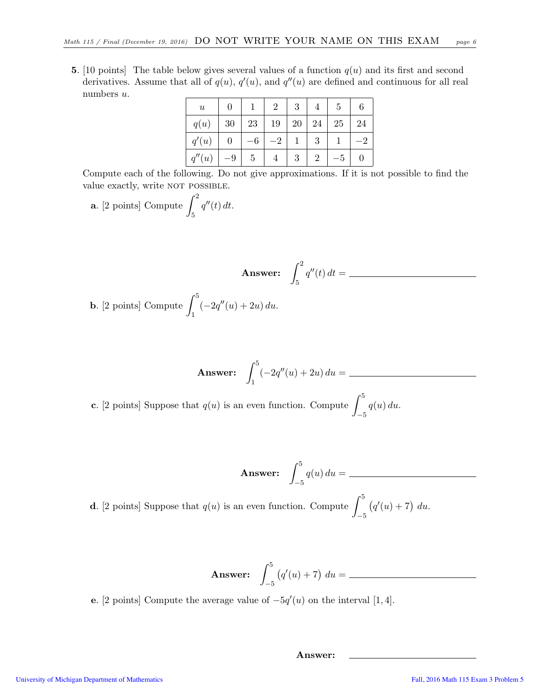5. [10 points] The table below gives several values of a function  $q(u)$  and its first and second derivatives. Assume that all of  $q(u)$ ,  $q'(u)$ , and  $q''(u)$  are defined and continuous for all real numbers u.

| $\boldsymbol{\mathit{u}}$ |    |               |    | 3  |                | G  |    |
|---------------------------|----|---------------|----|----|----------------|----|----|
| q(u)                      | 30 | 23            | 19 | 20 | 24             | 25 | 24 |
| q'(u)                     |    |               |    |    | 3              |    |    |
| q''(u)                    | -9 | $\mathcal{L}$ |    | 3  | $\overline{2}$ |    |    |

Compute each of the following. Do not give approximations. If it is not possible to find the value exactly, write NOT POSSIBLE.

Answer:  $\int_0^2$ 

**a.** [2 points] Compute 
$$
\int_5^2 q''(t) dt
$$
.

**b.** [2 points] Compute  $\int_{1}^{5} (-2q''(u) + 2u) du$ .

**Answer:** 
$$
\int_{1}^{5} (-2q''(u) + 2u) du =
$$

 $\int_{5}^{2} q''(t) dt =$ 

**c**. [2 points] Suppose that  $q(u)$  is an even function. Compute  $\int_{-5}^{5} q(u) du$ .

**Answer:** 
$$
\int_{-5}^{5} q(u) du =
$$

**d**. [2 points] Suppose that  $q(u)$  is an even function. Compute  $\int_{-5}^{5}$  $(q'(u) + 7) du.$ 

**Answer:** 
$$
\int_{-5}^{5} (q'(u) + 7) du =
$$

e. [2 points] Compute the average value of  $-5q'(u)$  on the interval [1,4].

Answer: